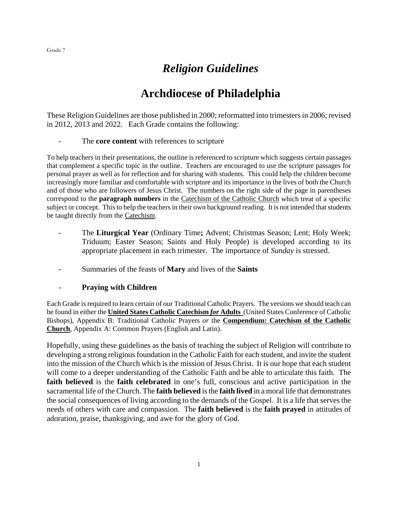## *Religion Guidelines*

## **Archdiocese of Philadelphia**

These Religion Guidelines are those published in 2000; reformatted into trimesters in 2006; revised in 2012, 2013 and 2022. Each Grade contains the following:

- The **core content** with references to scripture

To help teachers in their presentations, the outline is referenced to scripture which suggests certain passages that complement a specific topic in the outline. Teachers are encouraged to use the scripture passages for personal prayer as well as for reflection and for sharing with students. This could help the children become increasingly more familiar and comfortable with scripture and its importance in the lives of both the Church and of those who are followers of Jesus Christ. The numbers on the right side of the page in parentheses correspond to the **paragraph numbers** in the Catechism of the Catholic Church which treat of a specific subject or concept. This to help the teachers in their own background reading. It is not intended that students be taught directly from the Catechism.

- The **Liturgical Year** (Ordinary Time**;** Advent; Christmas Season; Lent; Holy Week; Triduum; Easter Season; Saints and Holy People) is developed according to its appropriate placement in each trimester. The importance of *Sunday* is stressed.
- Summaries of the feasts of **Mary** and lives of the **Saints**

#### - **Praying with Children**

Each Grade is required to learn certain of our Traditional Catholic Prayers. The versions we should teach can be found in either the **United States Catholic Catechism** *for* **Adults** (United States Conference of Catholic Bishops), Appendix B: Traditional Catholic Prayers *or* the **Compendium: Catechism of the Catholic Church**, Appendix A: Common Prayers (English and Latin).

Hopefully, using these guidelines as the basis of teaching the subject of Religion will contribute to developing a strong religious foundation in the Catholic Faith for each student, and invite the student into the mission of the Church which is the mission of Jesus Christ. It is our hope that each student will come to a deeper understanding of the Catholic Faith and be able to articulate this faith. The **faith believed** is the **faith celebrated** in one's full, conscious and active participation in the sacramental life of the Church. The **faith believed** is the **faith lived** in a moral life that demonstrates the social consequences of living according to the demands of the Gospel. It is a life that serves the needs of others with care and compassion. The **faith believed** is the **faith prayed** in attitudes of adoration, praise, thanksgiving, and awe for the glory of God.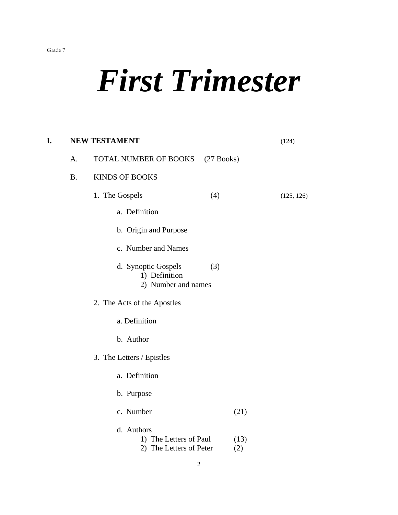## *First Trimester*

| I. |           | <b>NEW TESTAMENT</b>                                               |             | (124)      |
|----|-----------|--------------------------------------------------------------------|-------------|------------|
|    | A.        | TOTAL NUMBER OF BOOKS<br>$(27$ Books)                              |             |            |
|    | <b>B.</b> | <b>KINDS OF BOOKS</b>                                              |             |            |
|    |           | 1. The Gospels<br>(4)                                              |             | (125, 126) |
|    |           | a. Definition                                                      |             |            |
|    |           | b. Origin and Purpose                                              |             |            |
|    |           | c. Number and Names                                                |             |            |
|    |           | d. Synoptic Gospels<br>(3)<br>1) Definition<br>2) Number and names |             |            |
|    |           | 2. The Acts of the Apostles                                        |             |            |
|    |           | a. Definition                                                      |             |            |
|    |           | b. Author                                                          |             |            |
|    |           | 3. The Letters / Epistles                                          |             |            |
|    |           | a. Definition                                                      |             |            |
|    |           | b. Purpose                                                         |             |            |
|    |           | c. Number                                                          | (21)        |            |
|    |           | d. Authors<br>1) The Letters of Paul<br>2) The Letters of Peter    | (13)<br>(2) |            |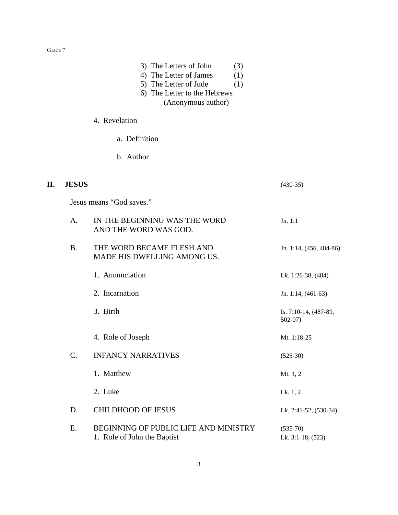|     |              | 3) The Letters of John<br>(3)<br>4) The Letter of James<br>(1)<br>5) The Letter of Jude<br>(1)<br>6) The Letter to the Hebrews<br>(Anonymous author) |                                   |
|-----|--------------|------------------------------------------------------------------------------------------------------------------------------------------------------|-----------------------------------|
|     |              | 4. Revelation                                                                                                                                        |                                   |
|     |              | a. Definition                                                                                                                                        |                                   |
|     |              | b. Author                                                                                                                                            |                                   |
| II. | <b>JESUS</b> |                                                                                                                                                      | $(430-35)$                        |
|     |              | Jesus means "God saves."                                                                                                                             |                                   |
|     | A.           | IN THE BEGINNING WAS THE WORD<br>AND THE WORD WAS GOD.                                                                                               | Jn. 1:1                           |
|     | <b>B.</b>    | THE WORD BECAME FLESH AND<br>MADE HIS DWELLING AMONG US.                                                                                             | Jn. 1:14, (456, 484-86)           |
|     |              | 1. Annunciation                                                                                                                                      | Lk. 1:26-38, (484)                |
|     |              | 2. Incarnation                                                                                                                                       | Jn. 1:14, (461-63)                |
|     |              | 3. Birth                                                                                                                                             | Is. 7:10-14, (487-89,<br>$502-07$ |
|     |              | 4. Role of Joseph                                                                                                                                    | Mt. 1:18-25                       |
|     | C.           | <b>INFANCY NARRATIVES</b>                                                                                                                            | $(525-30)$                        |
|     |              | 1. Matthew                                                                                                                                           | Mt. 1, 2                          |
|     |              | 2. Luke                                                                                                                                              | Lk. 1, 2                          |
|     | D.           | <b>CHILDHOOD OF JESUS</b>                                                                                                                            | Lk. 2:41-52, (530-34)             |
|     | Ε.           | BEGINNING OF PUBLIC LIFE AND MINISTRY<br>1. Role of John the Baptist                                                                                 | $(535-70)$<br>Lk. 3:1-18, (523)   |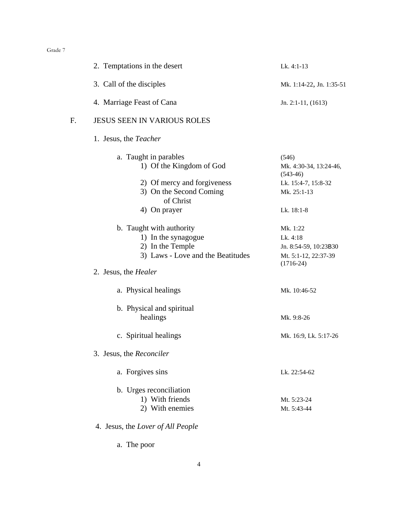|    | 2. Temptations in the desert                                                                                                            | Lk. 4:1-13                                                                           |
|----|-----------------------------------------------------------------------------------------------------------------------------------------|--------------------------------------------------------------------------------------|
|    | 3. Call of the disciples                                                                                                                | Mk. 1:14-22, Jn. 1:35-51                                                             |
|    | 4. Marriage Feast of Cana                                                                                                               | Jn. 2:1-11, $(1613)$                                                                 |
| F. | <b>JESUS SEEN IN VARIOUS ROLES</b>                                                                                                      |                                                                                      |
|    | 1. Jesus, the <i>Teacher</i>                                                                                                            |                                                                                      |
|    | a. Taught in parables<br>1) Of the Kingdom of God<br>2) Of mercy and forgiveness<br>3) On the Second Coming                             | (546)<br>Mk. 4:30-34, 13:24-46,<br>$(543-46)$<br>Lk. 15:4-7, 15:8-32<br>Mk. 25:1-13  |
|    | of Christ<br>4) On prayer                                                                                                               | Lk. 18:1-8                                                                           |
|    | b. Taught with authority<br>1) In the synagogue<br>2) In the Temple<br>3) Laws - Love and the Beatitudes<br>2. Jesus, the <i>Healer</i> | Mk. 1:22<br>Lk. 4:18<br>Jn. 8:54-59, 10:23B30<br>Mt. 5:1-12, 22:37-39<br>$(1716-24)$ |
|    |                                                                                                                                         |                                                                                      |
|    | a. Physical healings                                                                                                                    | Mk. 10:46-52                                                                         |
|    | b. Physical and spiritual<br>healings                                                                                                   | Mk. 9:8-26                                                                           |
|    | c. Spiritual healings                                                                                                                   | Mk. 16:9, Lk. 5:17-26                                                                |
|    | 3. Jesus, the <i>Reconciler</i>                                                                                                         |                                                                                      |
|    | a. Forgives sins                                                                                                                        | Lk. 22:54-62                                                                         |
|    | b. Urges reconciliation<br>1) With friends<br>2) With enemies                                                                           | Mt. 5:23-24<br>Mt. 5:43-44                                                           |
|    | 4. Jesus, the Lover of All People                                                                                                       |                                                                                      |
|    |                                                                                                                                         |                                                                                      |

a. The poor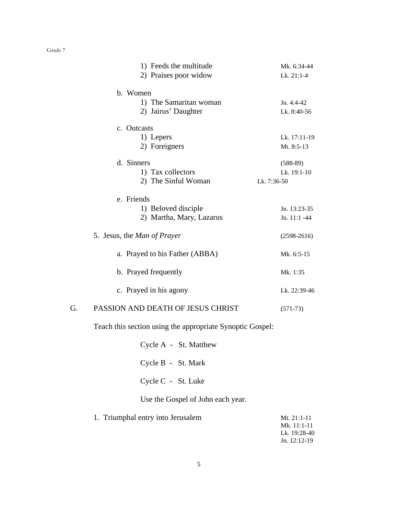|    | 1) Feeds the multitude             | Mk. 6:34-44    |
|----|------------------------------------|----------------|
|    | 2) Praises poor widow              | Lk. 21:1-4     |
|    | b. Women                           |                |
|    | 1) The Samaritan woman             | Jn. 4:4-42     |
|    | 2) Jairus' Daughter                | Lk. 8:40-56    |
|    | c. Outcasts                        |                |
|    | 1) Lepers                          | Lk. 17:11-19   |
|    | 2) Foreigners                      | Mt. 8:5-13     |
|    | d. Sinners                         | $(588-89)$     |
|    | 1) Tax collectors                  | Lk. 19:1-10    |
|    | 2) The Sinful Woman                | Lk. 7:36-50    |
|    | e. Friends                         |                |
|    | 1) Beloved disciple                | Jn. 13:23-35   |
|    | 2) Martha, Mary, Lazarus           | Jn. $11:1 -44$ |
|    | 5. Jesus, the <i>Man of Prayer</i> | $(2598-2616)$  |
|    | a. Prayed to his Father (ABBA)     | Mk. 6:5-15     |
|    | b. Prayed frequently               | Mk. 1:35       |
|    | c. Prayed in his agony             | Lk. 22:39-46   |
| G. | PASSION AND DEATH OF JESUS CHRIST  | $(571-73)$     |

Teach this section using the appropriate Synoptic Gospel:

|                    | Cycle A - St. Matthew |
|--------------------|-----------------------|
| Cycle B - St. Mark |                       |
| Cycle C - St. Luke |                       |

Use the Gospel of John each year.

| Mt. $21:1-11$  |
|----------------|
| Mk. $11:1-11$  |
| Lk. 19:28-40   |
| Jn. $12:12-19$ |
|                |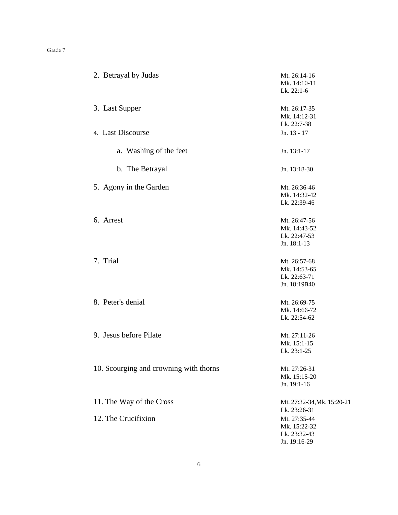| 2. Betrayal by Judas                   | Mt. 26:14-16<br>Mk. 14:10-11 |
|----------------------------------------|------------------------------|
|                                        | Lk. 22:1-6                   |
| 3. Last Supper                         | Mt. 26:17-35                 |
|                                        | Mk. 14:12-31                 |
|                                        | Lk. 22:7-38                  |
| 4. Last Discourse                      | Jn. 13 - 17                  |
| a. Washing of the feet                 | Jn. 13:1-17                  |
| b. The Betrayal                        | Jn. 13:18-30                 |
| 5. Agony in the Garden                 | Mt. 26:36-46                 |
|                                        | Mk. 14:32-42                 |
|                                        | Lk. 22:39-46                 |
| 6. Arrest                              | Mt. 26:47-56                 |
|                                        | Mk. 14:43-52                 |
|                                        | Lk. 22:47-53                 |
|                                        | Jn. 18:1-13                  |
| 7. Trial                               | Mt. 26:57-68                 |
|                                        | Mk. 14:53-65                 |
|                                        | Lk. 22:63-71                 |
|                                        | Jn. 18:19B40                 |
| 8. Peter's denial                      | Mt. 26:69-75                 |
|                                        | Mk. 14:66-72                 |
|                                        | Lk. 22:54-62                 |
| 9. Jesus before Pilate                 | Mt. 27:11-26                 |
|                                        | Mk. 15:1-15                  |
|                                        | Lk. 23:1-25                  |
| 10. Scourging and crowning with thorns | Mt. 27:26-31                 |
|                                        | Mk. 15:15-20                 |
|                                        | Jn. 19:1-16                  |
| 11. The Way of the Cross               | Mt. 27:32-34, Mk. 15:20-21   |
|                                        | Lk. 23:26-31                 |
| 12. The Crucifixion                    | Mt. 27:35-44                 |
|                                        | Mk. 15:22-32                 |
|                                        | Lk. 23:32-43                 |
|                                        | Jn. 19:16-29                 |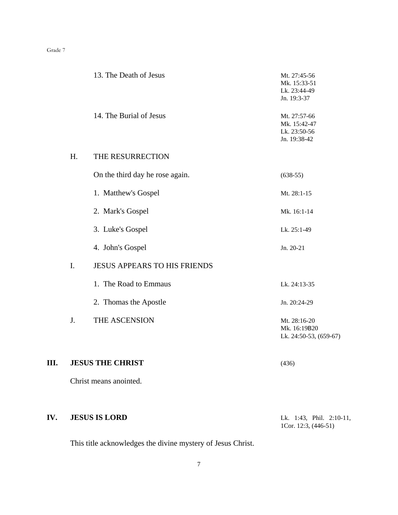| IV. |    | <b>JESUS IS LORD</b>                | Lk. 1:43, Phil. 2:10-11,                                     |
|-----|----|-------------------------------------|--------------------------------------------------------------|
|     |    | Christ means anointed.              |                                                              |
| Ш.  |    | <b>JESUS THE CHRIST</b>             | (436)                                                        |
|     | J. | THE ASCENSION                       | Mt. 28:16-20<br>Mk. 16:19B20<br>Lk. 24:50-53, (659-67)       |
|     |    | 2. Thomas the Apostle               | Jn. 20:24-29                                                 |
|     |    | 1. The Road to Emmaus               | Lk. 24:13-35                                                 |
|     | I. | <b>JESUS APPEARS TO HIS FRIENDS</b> |                                                              |
|     |    | 4. John's Gospel                    | Jn. 20-21                                                    |
|     |    | 3. Luke's Gospel                    | Lk. 25:1-49                                                  |
|     |    | 2. Mark's Gospel                    | Mk. 16:1-14                                                  |
|     |    | 1. Matthew's Gospel                 | Mt. 28:1-15                                                  |
|     |    | On the third day he rose again.     | $(638-55)$                                                   |
|     | H. | THE RESURRECTION                    |                                                              |
|     |    | 14. The Burial of Jesus             | Mt. 27:57-66<br>Mk. 15:42-47<br>Lk. 23:50-56<br>Jn. 19:38-42 |
|     |    | 13. The Death of Jesus              | Mt. 27:45-56<br>Mk. 15:33-51<br>Lk. 23:44-49<br>Jn. 19:3-37  |

This title acknowledges the divine mystery of Jesus Christ.

1Cor. 12:3, (446-51)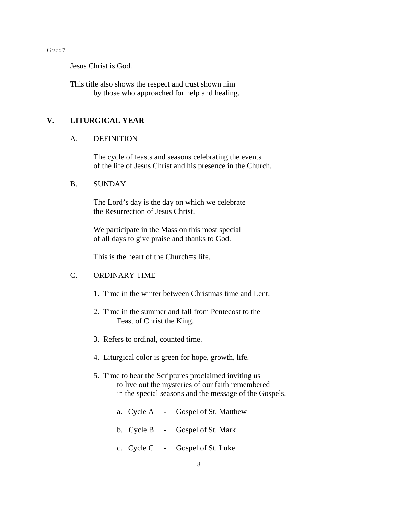Jesus Christ is God.

This title also shows the respect and trust shown him by those who approached for help and healing.

## **V. LITURGICAL YEAR**

#### A. DEFINITION

The cycle of feasts and seasons celebrating the events of the life of Jesus Christ and his presence in the Church.

#### B. SUNDAY

The Lord's day is the day on which we celebrate the Resurrection of Jesus Christ.

We participate in the Mass on this most special of all days to give praise and thanks to God.

This is the heart of the Church=s life.

### C. ORDINARY TIME

- 1. Time in the winter between Christmas time and Lent.
- 2. Time in the summer and fall from Pentecost to the Feast of Christ the King.
- 3. Refers to ordinal, counted time.
- 4. Liturgical color is green for hope, growth, life.
- 5. Time to hear the Scriptures proclaimed inviting us to live out the mysteries of our faith remembered in the special seasons and the message of the Gospels.
	- a. Cycle A Gospel of St. Matthew
	- b. Cycle B Gospel of St. Mark
	- c. Cycle C Gospel of St. Luke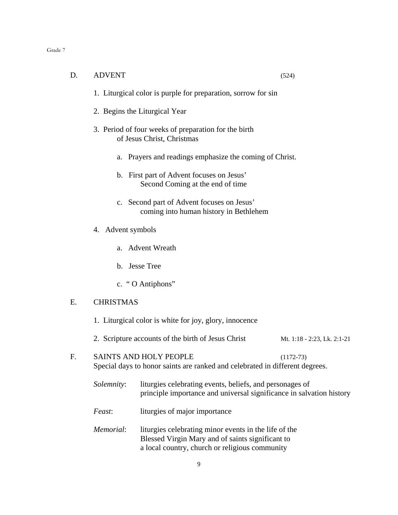| D. | <b>ADVENT</b>                                                                        |                                                                                                                                                             | (524)                       |  |  |
|----|--------------------------------------------------------------------------------------|-------------------------------------------------------------------------------------------------------------------------------------------------------------|-----------------------------|--|--|
|    | 1. Liturgical color is purple for preparation, sorrow for sin                        |                                                                                                                                                             |                             |  |  |
|    | 2. Begins the Liturgical Year                                                        |                                                                                                                                                             |                             |  |  |
|    |                                                                                      | 3. Period of four weeks of preparation for the birth<br>of Jesus Christ, Christmas                                                                          |                             |  |  |
|    |                                                                                      | a. Prayers and readings emphasize the coming of Christ.                                                                                                     |                             |  |  |
|    |                                                                                      | b. First part of Advent focuses on Jesus'<br>Second Coming at the end of time                                                                               |                             |  |  |
|    | c. Second part of Advent focuses on Jesus'<br>coming into human history in Bethlehem |                                                                                                                                                             |                             |  |  |
|    | 4. Advent symbols                                                                    |                                                                                                                                                             |                             |  |  |
|    |                                                                                      | a. Advent Wreath                                                                                                                                            |                             |  |  |
|    |                                                                                      | b. Jesse Tree                                                                                                                                               |                             |  |  |
|    |                                                                                      | c. "O Antiphons"                                                                                                                                            |                             |  |  |
| E. | <b>CHRISTMAS</b>                                                                     |                                                                                                                                                             |                             |  |  |
|    | 1. Liturgical color is white for joy, glory, innocence                               |                                                                                                                                                             |                             |  |  |
|    |                                                                                      | 2. Scripture accounts of the birth of Jesus Christ                                                                                                          | Mt. 1:18 - 2:23, Lk. 2:1-21 |  |  |
| F. |                                                                                      | <b>SAINTS AND HOLY PEOPLE</b><br>Special days to honor saints are ranked and celebrated in different degrees.                                               | $(1172-73)$                 |  |  |
|    | Solemnity:                                                                           | liturgies celebrating events, beliefs, and personages of<br>principle importance and universal significance in salvation history                            |                             |  |  |
|    | Feast:                                                                               | liturgies of major importance                                                                                                                               |                             |  |  |
|    | Memorial:                                                                            | liturgies celebrating minor events in the life of the<br>Blessed Virgin Mary and of saints significant to<br>a local country, church or religious community |                             |  |  |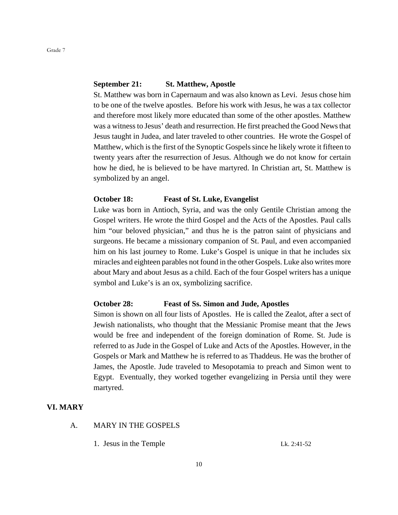#### **September 21: St. Matthew, Apostle**

St. Matthew was born in Capernaum and was also known as Levi. Jesus chose him to be one of the twelve apostles. Before his work with Jesus, he was a tax collector and therefore most likely more educated than some of the other apostles. Matthew was a witness to Jesus' death and resurrection. He first preached the Good News that Jesus taught in Judea, and later traveled to other countries. He wrote the Gospel of Matthew, which is the first of the Synoptic Gospels since he likely wrote it fifteen to twenty years after the resurrection of Jesus. Although we do not know for certain how he died, he is believed to be have martyred. In Christian art, St. Matthew is symbolized by an angel.

#### **October 18: Feast of St. Luke, Evangelist**

Luke was born in Antioch, Syria, and was the only Gentile Christian among the Gospel writers. He wrote the third Gospel and the Acts of the Apostles. Paul calls him "our beloved physician," and thus he is the patron saint of physicians and surgeons. He became a missionary companion of St. Paul, and even accompanied him on his last journey to Rome. Luke's Gospel is unique in that he includes six miracles and eighteen parables not found in the other Gospels. Luke also writes more about Mary and about Jesus as a child. Each of the four Gospel writers has a unique symbol and Luke's is an ox, symbolizing sacrifice.

## **October 28: Feast of Ss. Simon and Jude, Apostles**

Simon is shown on all four lists of Apostles. He is called the Zealot, after a sect of Jewish nationalists, who thought that the Messianic Promise meant that the Jews would be free and independent of the foreign domination of Rome. St. Jude is referred to as Jude in the Gospel of Luke and Acts of the Apostles. However, in the Gospels or Mark and Matthew he is referred to as Thaddeus. He was the brother of James, the Apostle. Jude traveled to Mesopotamia to preach and Simon went to Egypt. Eventually, they worked together evangelizing in Persia until they were martyred.

#### **VI. MARY**

- A. MARY IN THE GOSPELS
	- 1. Jesus in the Temple Lk. 2:41-52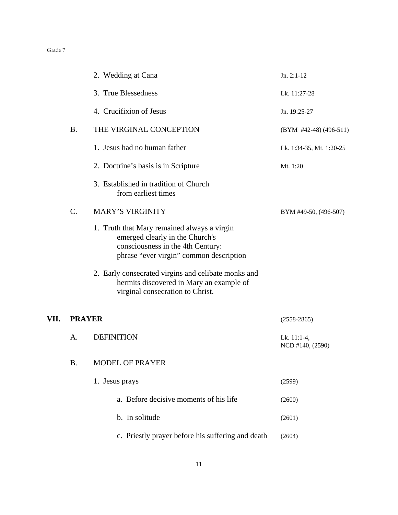|      |               | 2. Wedding at Cana                                                                                                                                             | $Jn. 2:1-12$                    |
|------|---------------|----------------------------------------------------------------------------------------------------------------------------------------------------------------|---------------------------------|
|      |               | 3. True Blessedness                                                                                                                                            | Lk. 11:27-28                    |
|      |               | 4. Crucifixion of Jesus                                                                                                                                        | Jn. 19:25-27                    |
|      | <b>B.</b>     | THE VIRGINAL CONCEPTION                                                                                                                                        | (BYM #42-48) (496-511)          |
|      |               | 1. Jesus had no human father                                                                                                                                   | Lk. 1:34-35, Mt. 1:20-25        |
|      |               | 2. Doctrine's basis is in Scripture                                                                                                                            | Mt. 1:20                        |
|      |               | 3. Established in tradition of Church<br>from earliest times                                                                                                   |                                 |
|      | C.            | <b>MARY'S VIRGINITY</b>                                                                                                                                        | BYM #49-50, (496-507)           |
|      |               | 1. Truth that Mary remained always a virgin<br>emerged clearly in the Church's<br>consciousness in the 4th Century:<br>phrase "ever virgin" common description |                                 |
|      |               | 2. Early consecrated virgins and celibate monks and<br>hermits discovered in Mary an example of<br>virginal consecration to Christ.                            |                                 |
| VII. | <b>PRAYER</b> |                                                                                                                                                                | $(2558-2865)$                   |
|      | A.            | <b>DEFINITION</b>                                                                                                                                              | Lk. 11:1-4,<br>NCD #140, (2590) |
|      | <b>B.</b>     | MODEL OF PRAYER                                                                                                                                                |                                 |
|      |               | 1. Jesus prays                                                                                                                                                 | (2599)                          |
|      |               | a. Before decisive moments of his life                                                                                                                         | (2600)                          |
|      |               | b. In solitude                                                                                                                                                 | (2601)                          |
|      |               | c. Priestly prayer before his suffering and death                                                                                                              | (2604)                          |
|      |               |                                                                                                                                                                |                                 |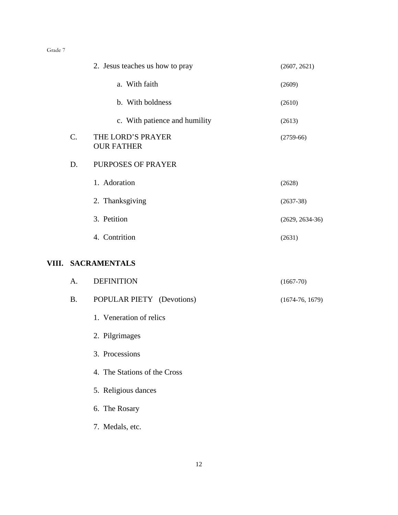|           | 2. Jesus teaches us how to pray        | (2607, 2621)      |
|-----------|----------------------------------------|-------------------|
|           | a. With faith                          | (2609)            |
|           | b. With boldness                       | (2610)            |
|           | c. With patience and humility          | (2613)            |
| C.        | THE LORD'S PRAYER<br><b>OUR FATHER</b> | $(2759-66)$       |
| D.        | PURPOSES OF PRAYER                     |                   |
|           | 1. Adoration                           | (2628)            |
|           | 2. Thanksgiving                        | $(2637-38)$       |
|           | 3. Petition                            | $(2629, 2634-36)$ |
|           | 4. Contrition                          | (2631)            |
|           |                                        |                   |
|           | VIII. SACRAMENTALS                     |                   |
| A.        | <b>DEFINITION</b>                      | $(1667 - 70)$     |
| <b>B.</b> | POPULAR PIETY (Devotions)              | $(1674-76, 1679)$ |
|           | 1. Veneration of relics                |                   |
|           | 2. Pilgrimages                         |                   |
|           | 3. Processions                         |                   |
|           | 4. The Stations of the Cross           |                   |
|           | 5. Religious dances                    |                   |
|           | 6. The Rosary                          |                   |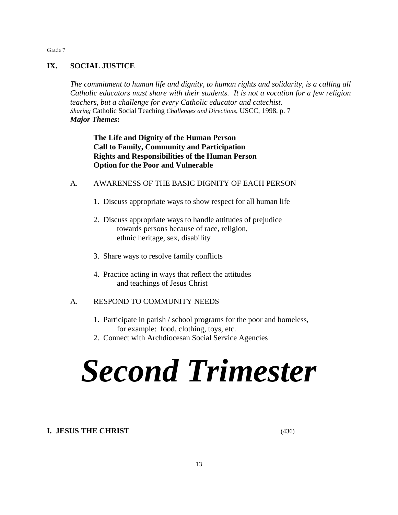## **IX. SOCIAL JUSTICE**

Grade 7

*The commitment to human life and dignity, to human rights and solidarity, is a calling all Catholic educators must share with their students. It is not a vocation for a few religion teachers, but a challenge for every Catholic educator and catechist. Sharing* Catholic Social Teaching *Challenges and Directions*, USCC, 1998, p. 7 *Major Themes***:**

**The Life and Dignity of the Human Person Call to Family, Community and Participation Rights and Responsibilities of the Human Person Option for the Poor and Vulnerable**

- A. AWARENESS OF THE BASIC DIGNITY OF EACH PERSON
	- 1. Discuss appropriate ways to show respect for all human life
	- 2. Discuss appropriate ways to handle attitudes of prejudice towards persons because of race, religion, ethnic heritage, sex, disability
	- 3. Share ways to resolve family conflicts
	- 4. Practice acting in ways that reflect the attitudes and teachings of Jesus Christ

## A. RESPOND TO COMMUNITY NEEDS

- 1. Participate in parish / school programs for the poor and homeless, for example: food, clothing, toys, etc.
- 2. Connect with Archdiocesan Social Service Agencies

# *Second Trimester*

## **I. JESUS THE CHRIST** (436)

13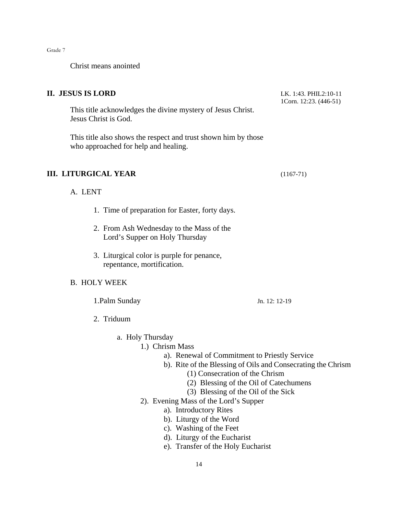Christ means anointed

## **II. JESUS IS LORD** LK. 1:43. PHIL2:10-11

This title acknowledges the divine mystery of Jesus Christ. Jesus Christ is God.

This title also shows the respect and trust shown him by those who approached for help and healing.

## **III. LITURGICAL YEAR** (1167-71)

A. LENT

- 1. Time of preparation for Easter, forty days.
- 2. From Ash Wednesday to the Mass of the Lord's Supper on Holy Thursday
- 3. Liturgical color is purple for penance, repentance, mortification.

### B. HOLY WEEK

1.Palm Sunday Jn. 12: 12-19

2. Triduum

a. Holy Thursday

#### 1.) Chrism Mass

- a). Renewal of Commitment to Priestly Service
- b). Rite of the Blessing of Oils and Consecrating the Chrism
	- (1) Consecration of the Chrism
	- (2) Blessing of the Oil of Catechumens
	- (3) Blessing of the Oil of the Sick
- 2). Evening Mass of the Lord's Supper
	- a). Introductory Rites
	- b). Liturgy of the Word
	- c). Washing of the Feet
	- d). Liturgy of the Eucharist
	- e). Transfer of the Holy Eucharist

1Corn. 12:23. (446-51)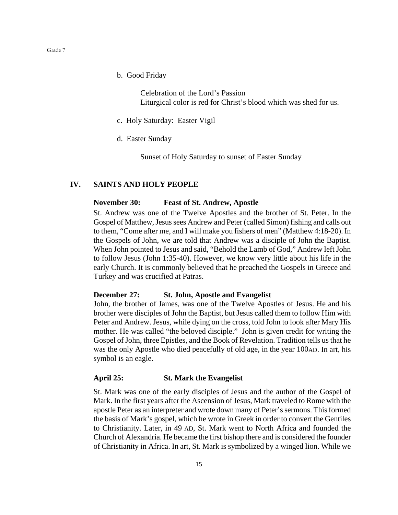b. Good Friday

Celebration of the Lord's Passion Liturgical color is red for Christ's blood which was shed for us.

- c. Holy Saturday: Easter Vigil
- d. Easter Sunday

Sunset of Holy Saturday to sunset of Easter Sunday

#### **IV. SAINTS AND HOLY PEOPLE**

#### **November 30: Feast of St. Andrew, Apostle**

St. Andrew was one of the Twelve Apostles and the brother of St. Peter. In the Gospel of Matthew, Jesus sees Andrew and Peter (called Simon) fishing and calls out to them, "Come after me, and I will make you fishers of men" (Matthew 4:18-20). In the Gospels of John, we are told that Andrew was a disciple of John the Baptist. When John pointed to Jesus and said, "Behold the Lamb of God," Andrew left John to follow Jesus (John 1:35-40). However, we know very little about his life in the early Church. It is commonly believed that he preached the Gospels in Greece and Turkey and was crucified at Patras.

#### **December 27: St. John, Apostle and Evangelist**

John, the brother of James, was one of the Twelve Apostles of Jesus. He and his brother were disciples of John the Baptist, but Jesus called them to follow Him with Peter and Andrew. Jesus, while dying on the cross, told John to look after Mary His mother. He was called "the beloved disciple." John is given credit for writing the Gospel of John, three Epistles, and the Book of Revelation. Tradition tells us that he was the only Apostle who died peacefully of old age, in the year 100AD. In art, his symbol is an eagle.

#### **April 25: St. Mark the Evangelist**

St. Mark was one of the early disciples of Jesus and the author of the Gospel of Mark. In the first years after the Ascension of Jesus, Mark traveled to Rome with the apostle Peter as an interpreter and wrote down many of Peter's sermons. This formed the basis of Mark's gospel, which he wrote in Greek in order to convert the Gentiles to Christianity. Later, in 49 AD, St. Mark went to North Africa and founded the Church of Alexandria. He became the first bishop there and is considered the founder of Christianity in Africa. In art, St. Mark is symbolized by a winged lion. While we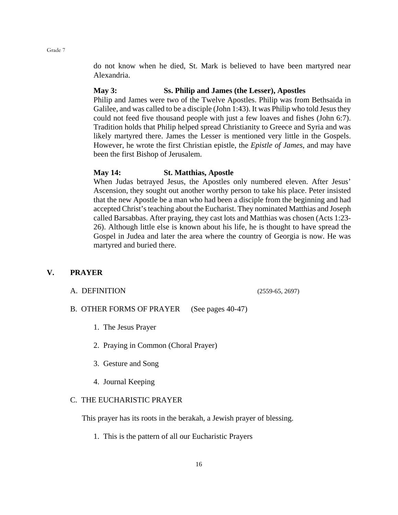do not know when he died, St. Mark is believed to have been martyred near Alexandria.

#### **May 3: Ss. Philip and James (the Lesser), Apostles**

Philip and James were two of the Twelve Apostles. Philip was from Bethsaida in Galilee, and was called to be a disciple (John 1:43). It was Philip who told Jesus they could not feed five thousand people with just a few loaves and fishes (John 6:7). Tradition holds that Philip helped spread Christianity to Greece and Syria and was likely martyred there. James the Lesser is mentioned very little in the Gospels. However, he wrote the first Christian epistle, the *Epistle of James*, and may have been the first Bishop of Jerusalem.

#### **May 14: St. Matthias, Apostle**

When Judas betrayed Jesus, the Apostles only numbered eleven. After Jesus' Ascension, they sought out another worthy person to take his place. Peter insisted that the new Apostle be a man who had been a disciple from the beginning and had accepted Christ's teaching about the Eucharist. They nominated Matthias and Joseph called Barsabbas. After praying, they cast lots and Matthias was chosen (Acts 1:23- 26). Although little else is known about his life, he is thought to have spread the Gospel in Judea and later the area where the country of Georgia is now. He was martyred and buried there.

## **V. PRAYER**

#### A. DEFINITION (2559-65, 2697)

B. OTHER FORMS OF PRAYER (See pages 40-47)

- 1. The Jesus Prayer
- 2. Praying in Common (Choral Prayer)
- 3. Gesture and Song
- 4. Journal Keeping

#### C. THE EUCHARISTIC PRAYER

This prayer has its roots in the berakah, a Jewish prayer of blessing.

1. This is the pattern of all our Eucharistic Prayers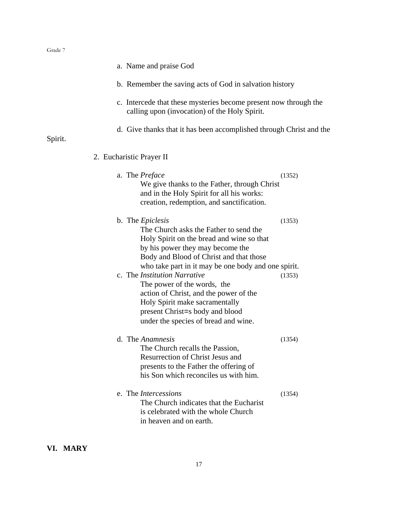|         | a. Name and praise God                                                                                                                                                                                                                                                    |        |
|---------|---------------------------------------------------------------------------------------------------------------------------------------------------------------------------------------------------------------------------------------------------------------------------|--------|
|         | b. Remember the saving acts of God in salvation history                                                                                                                                                                                                                   |        |
|         | c. Intercede that these mysteries become present now through the<br>calling upon (invocation) of the Holy Spirit.                                                                                                                                                         |        |
| Spirit. | d. Give thanks that it has been accomplished through Christ and the                                                                                                                                                                                                       |        |
|         | 2. Eucharistic Prayer II                                                                                                                                                                                                                                                  |        |
|         | a. The Preface<br>We give thanks to the Father, through Christ<br>and in the Holy Spirit for all his works:<br>creation, redemption, and sanctification.                                                                                                                  | (1352) |
|         | b. The <i>Epiclesis</i><br>The Church asks the Father to send the<br>Holy Spirit on the bread and wine so that<br>by his power they may become the<br>Body and Blood of Christ and that those                                                                             | (1353) |
|         | who take part in it may be one body and one spirit.<br>c. The Institution Narrative<br>The power of the words, the<br>action of Christ, and the power of the<br>Holy Spirit make sacramentally<br>present Christ=s body and blood<br>under the species of bread and wine. | (1353) |
|         | d. The Anamnesis<br>The Church recalls the Passion,<br><b>Resurrection of Christ Jesus and</b><br>presents to the Father the offering of<br>his Son which reconciles us with him.                                                                                         | (1354) |
|         | e. The <i>Intercessions</i><br>The Church indicates that the Eucharist<br>is celebrated with the whole Church<br>in heaven and on earth.                                                                                                                                  | (1354) |

## **VI. MARY**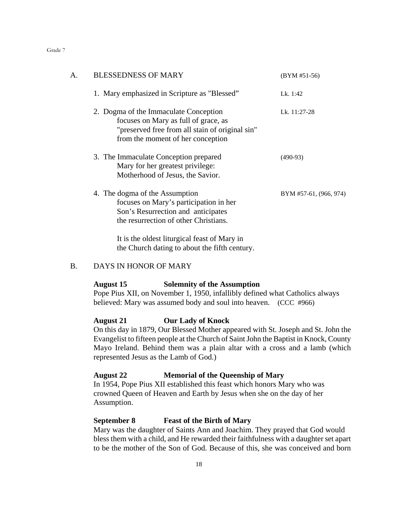| А. | <b>BLESSEDNESS OF MARY</b>                                                                                                                                                                                                                                                                                                                  | $(BYM #51-56)$         |
|----|---------------------------------------------------------------------------------------------------------------------------------------------------------------------------------------------------------------------------------------------------------------------------------------------------------------------------------------------|------------------------|
|    | 1. Mary emphasized in Scripture as "Blessed"                                                                                                                                                                                                                                                                                                | Lk. 1:42               |
|    | 2. Dogma of the Immaculate Conception<br>focuses on Mary as full of grace, as<br>"preserved free from all stain of original sin"<br>from the moment of her conception                                                                                                                                                                       | Lk. 11:27-28           |
|    | 3. The Immaculate Conception prepared<br>Mary for her greatest privilege:<br>Motherhood of Jesus, the Savior.                                                                                                                                                                                                                               | $(490-93)$             |
|    | 4. The dogma of the Assumption<br>focuses on Mary's participation in her<br>Son's Resurrection and anticipates<br>the resurrection of other Christians.                                                                                                                                                                                     | BYM #57-61, (966, 974) |
|    | $\mathbf{L}$ , i.e., $\mathbf{L}$ , $\mathbf{L}$ , $\mathbf{L}$ , $\mathbf{L}$ , $\mathbf{L}$ , $\mathbf{L}$ , $\mathbf{L}$ , $\mathbf{L}$ , $\mathbf{L}$ , $\mathbf{L}$ , $\mathbf{L}$ , $\mathbf{L}$ , $\mathbf{L}$ , $\mathbf{L}$ , $\mathbf{L}$ , $\mathbf{L}$ , $\mathbf{L}$ , $\mathbf{L}$ , $\mathbf{L}$ , $\mathbf{L}$ , $\mathbf{$ |                        |

It is the oldest liturgical feast of Mary in the Church dating to about the fifth century.

## B. DAYS IN HONOR OF MARY

#### **August 15 Solemnity of the Assumption**

Pope Pius XII, on November 1, 1950, infallibly defined what Catholics always believed: Mary was assumed body and soul into heaven. (CCC #966)

#### **August 21 Our Lady of Knock**

On this day in 1879, Our Blessed Mother appeared with St. Joseph and St. John the Evangelist to fifteen people at the Church of Saint John the Baptist in Knock, County Mayo Ireland. Behind them was a plain altar with a cross and a lamb (which represented Jesus as the Lamb of God.)

## **August 22 Memorial of the Queenship of Mary**

In 1954, Pope Pius XII established this feast which honors Mary who was crowned Queen of Heaven and Earth by Jesus when she on the day of her Assumption.

#### **September 8 Feast of the Birth of Mary**

Mary was the daughter of Saints Ann and Joachim. They prayed that God would bless them with a child, and He rewarded their faithfulness with a daughter set apart to be the mother of the Son of God. Because of this, she was conceived and born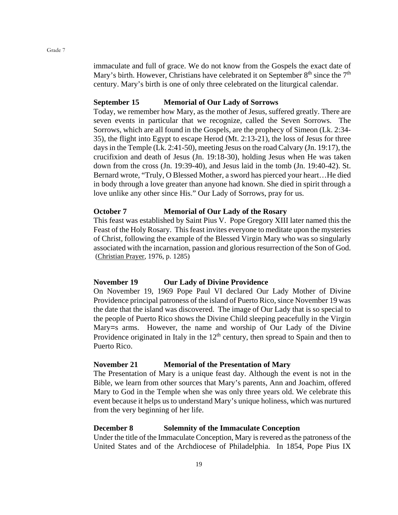immaculate and full of grace. We do not know from the Gospels the exact date of Mary's birth. However, Christians have celebrated it on September  $8<sup>th</sup>$  since the  $7<sup>th</sup>$ century. Mary's birth is one of only three celebrated on the liturgical calendar.

#### **September 15 Memorial of Our Lady of Sorrows**

Today, we remember how Mary, as the mother of Jesus, suffered greatly. There are seven events in particular that we recognize, called the Seven Sorrows. The Sorrows, which are all found in the Gospels, are the prophecy of Simeon (Lk. 2:34- 35), the flight into Egypt to escape Herod (Mt. 2:13-21), the loss of Jesus for three days in the Temple (Lk. 2:41-50), meeting Jesus on the road Calvary (Jn. 19:17), the crucifixion and death of Jesus (Jn. 19:18-30), holding Jesus when He was taken down from the cross (Jn. 19:39-40), and Jesus laid in the tomb (Jn. 19:40-42). St. Bernard wrote, "Truly, O Blessed Mother, a sword has pierced your heart... He died in body through a love greater than anyone had known. She died in spirit through a love unlike any other since His." Our Lady of Sorrows, pray for us.

#### **October 7 Memorial of Our Lady of the Rosary**

This feast was established by Saint Pius V. Pope Gregory XIII later named this the Feast of the Holy Rosary. This feast invites everyone to meditate upon the mysteries of Christ, following the example of the Blessed Virgin Mary who was so singularly associated with the incarnation, passion and glorious resurrection of the Son of God. (Christian Prayer, 1976, p. 1285)

#### **November 19 Our Lady of Divine Providence**

On November 19, 1969 Pope Paul VI declared Our Lady Mother of Divine Providence principal patroness of the island of Puerto Rico, since November 19 was the date that the island was discovered. The image of Our Lady that is so special to the people of Puerto Rico shows the Divine Child sleeping peacefully in the Virgin Mary=s arms. However, the name and worship of Our Lady of the Divine Providence originated in Italy in the  $12<sup>th</sup>$  century, then spread to Spain and then to Puerto Rico.

#### **November 21 Memorial of the Presentation of Mary**

The Presentation of Mary is a unique feast day. Although the event is not in the Bible, we learn from other sources that Mary's parents, Ann and Joachim, offered Mary to God in the Temple when she was only three years old. We celebrate this event because it helps us to understand Mary's unique holiness, which was nurtured from the very beginning of her life.

#### **December 8 Solemnity of the Immaculate Conception**

Under the title of the Immaculate Conception, Mary is revered as the patroness of the United States and of the Archdiocese of Philadelphia. In 1854, Pope Pius IX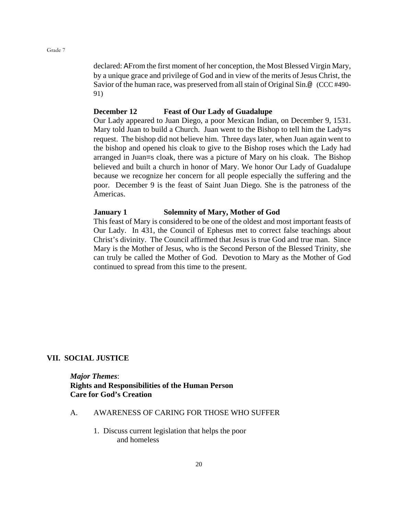declared: AFrom the first moment of her conception, the Most Blessed Virgin Mary, by a unique grace and privilege of God and in view of the merits of Jesus Christ, the Savior of the human race, was preserved from all stain of Original Sin.@ (CCC #490- 91)

#### **December 12 Feast of Our Lady of Guadalupe**

Our Lady appeared to Juan Diego, a poor Mexican Indian, on December 9, 1531. Mary told Juan to build a Church. Juan went to the Bishop to tell him the Lady=s request. The bishop did not believe him. Three days later, when Juan again went to the bishop and opened his cloak to give to the Bishop roses which the Lady had arranged in Juan=s cloak, there was a picture of Mary on his cloak. The Bishop believed and built a church in honor of Mary. We honor Our Lady of Guadalupe because we recognize her concern for all people especially the suffering and the poor. December 9 is the feast of Saint Juan Diego. She is the patroness of the Americas.

#### **January 1 Solemnity of Mary, Mother of God**

This feast of Mary is considered to be one of the oldest and most important feasts of Our Lady. In 431, the Council of Ephesus met to correct false teachings about Christ's divinity. The Council affirmed that Jesus is true God and true man. Since Mary is the Mother of Jesus, who is the Second Person of the Blessed Trinity, she can truly be called the Mother of God. Devotion to Mary as the Mother of God continued to spread from this time to the present.

#### **VII. SOCIAL JUSTICE**

*Major Themes*: **Rights and Responsibilities of the Human Person Care for God's Creation**

#### A. AWARENESS OF CARING FOR THOSE WHO SUFFER

1. Discuss current legislation that helps the poor and homeless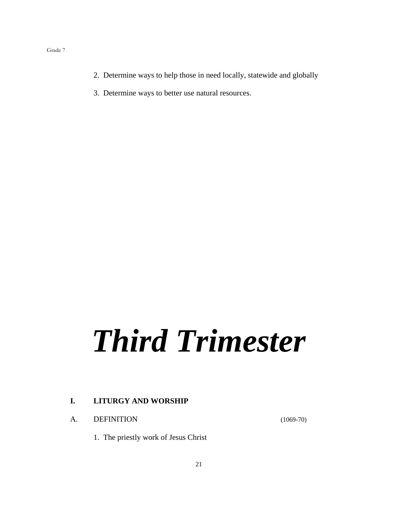- 2. Determine ways to help those in need locally, statewide and globally
- 3. Determine ways to better use natural resources.

# *Third Trimester*

## **I. LITURGY AND WORSHIP**

A. DEFINITION (1069-70)

1. The priestly work of Jesus Christ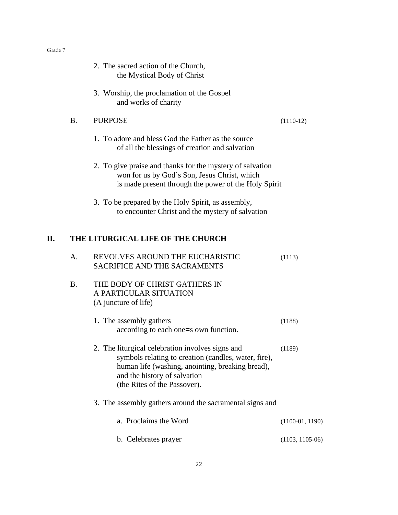| ''<br>т М |  |
|-----------|--|
|-----------|--|

|    |                | 2. The sacred action of the Church,<br>the Mystical Body of Christ                                                                                                                                                           |                   |
|----|----------------|------------------------------------------------------------------------------------------------------------------------------------------------------------------------------------------------------------------------------|-------------------|
|    |                | 3. Worship, the proclamation of the Gospel<br>and works of charity                                                                                                                                                           |                   |
|    | <b>B.</b>      | <b>PURPOSE</b>                                                                                                                                                                                                               | $(1110-12)$       |
|    |                | 1. To adore and bless God the Father as the source<br>of all the blessings of creation and salvation                                                                                                                         |                   |
|    |                | 2. To give praise and thanks for the mystery of salvation<br>won for us by God's Son, Jesus Christ, which<br>is made present through the power of the Holy Spirit                                                            |                   |
|    |                | 3. To be prepared by the Holy Spirit, as assembly,<br>to encounter Christ and the mystery of salvation                                                                                                                       |                   |
| П. |                | THE LITURGICAL LIFE OF THE CHURCH                                                                                                                                                                                            |                   |
|    | A <sub>1</sub> | REVOLVES AROUND THE EUCHARISTIC<br><b>SACRIFICE AND THE SACRAMENTS</b>                                                                                                                                                       | (1113)            |
|    | <b>B.</b>      | THE BODY OF CHRIST GATHERS IN<br>A PARTICULAR SITUATION<br>(A juncture of life)                                                                                                                                              |                   |
|    |                | 1. The assembly gathers<br>according to each one=s own function.                                                                                                                                                             | (1188)            |
|    |                | 2. The liturgical celebration involves signs and<br>symbols relating to creation (candles, water, fire),<br>human life (washing, anointing, breaking bread),<br>and the history of salvation<br>(the Rites of the Passover). | (1189)            |
|    |                | 3. The assembly gathers around the sacramental signs and                                                                                                                                                                     |                   |
|    |                | a. Proclaims the Word                                                                                                                                                                                                        | $(1100-01, 1190)$ |
|    |                | b. Celebrates prayer                                                                                                                                                                                                         | $(1103, 1105-06)$ |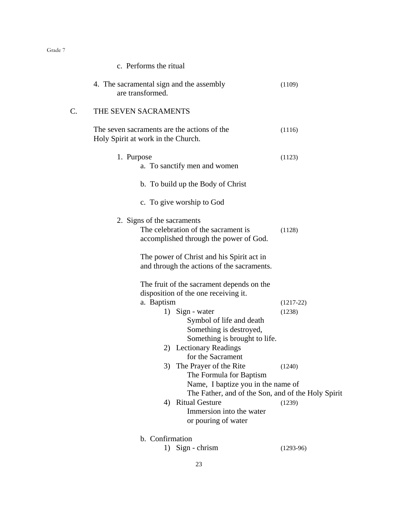| c. Performs the ritual                                                                                                                                 |             |
|--------------------------------------------------------------------------------------------------------------------------------------------------------|-------------|
| 4. The sacramental sign and the assembly<br>are transformed.                                                                                           | (1109)      |
| C.<br>THE SEVEN SACRAMENTS                                                                                                                             |             |
| The seven sacraments are the actions of the<br>Holy Spirit at work in the Church.                                                                      | (1116)      |
| 1. Purpose<br>a. To sanctify men and women                                                                                                             | (1123)      |
| b. To build up the Body of Christ                                                                                                                      |             |
| c. To give worship to God                                                                                                                              |             |
| 2. Signs of the sacraments<br>The celebration of the sacrament is<br>accomplished through the power of God.                                            | (1128)      |
| The power of Christ and his Spirit act in<br>and through the actions of the sacraments.                                                                |             |
| The fruit of the sacrament depends on the<br>disposition of the one receiving it.                                                                      |             |
| a. Baptism                                                                                                                                             | $(1217-22)$ |
| 1) Sign - water<br>Symbol of life and death<br>Something is destroyed,<br>Something is brought to life.<br>2) Lectionary Readings<br>for the Sacrament | (1238)      |
| The Prayer of the Rite<br>3)<br>The Formula for Baptism                                                                                                | (1240)      |
| Name, I baptize you in the name of                                                                                                                     |             |
| The Father, and of the Son, and of the Holy Spirit                                                                                                     |             |
| <b>Ritual Gesture</b><br>4)                                                                                                                            | (1239)      |
| Immersion into the water<br>or pouring of water                                                                                                        |             |
| b. Confirmation                                                                                                                                        |             |

1) Sign - chrism (1293-96)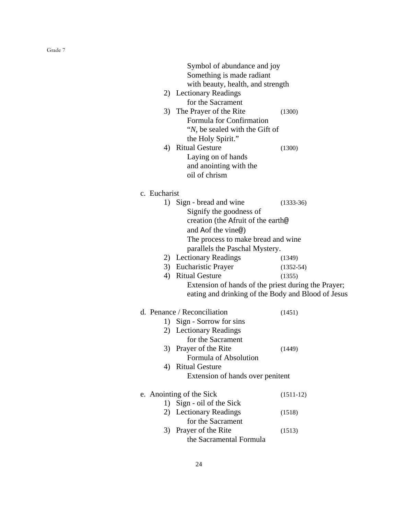|              | Symbol of abundance and joy                         |               |
|--------------|-----------------------------------------------------|---------------|
|              | Something is made radiant                           |               |
|              | with beauty, health, and strength                   |               |
|              | 2) Lectionary Readings                              |               |
|              | for the Sacrament                                   |               |
|              | 3) The Prayer of the Rite                           | (1300)        |
|              | Formula for Confirmation                            |               |
|              | " <i>N</i> , be sealed with the Gift of             |               |
|              | the Holy Spirit."                                   |               |
| 4)           | <b>Ritual Gesture</b>                               | (1300)        |
|              | Laying on of hands                                  |               |
|              | and anointing with the                              |               |
|              | oil of chrism                                       |               |
| c. Eucharist |                                                     |               |
|              | 1) Sign - bread and wine                            |               |
|              | Signify the goodness of                             | $(1333-36)$   |
|              | creation (the Afruit of the earth@                  |               |
|              |                                                     |               |
|              | and Aof the vine <sup>®</sup> )                     |               |
|              | The process to make bread and wine                  |               |
|              | parallels the Paschal Mystery.                      |               |
|              | 2) Lectionary Readings                              | (1349)        |
|              | 3) Eucharistic Prayer<br>4) Ritual Gesture          | $(1352 - 54)$ |
|              |                                                     | (1355)        |
|              | Extension of hands of the priest during the Prayer; |               |
|              | eating and drinking of the Body and Blood of Jesus  |               |
|              | d. Penance / Reconciliation                         | (1451)        |
| 1)           | Sign - Sorrow for sins                              |               |
|              | 2) Lectionary Readings                              |               |
|              | for the Sacrament                                   |               |
| 3)           | Prayer of the Rite                                  | (1449)        |
|              | Formula of Absolution                               |               |
| 4)           | <b>Ritual Gesture</b>                               |               |
|              | Extension of hands over penitent                    |               |
|              | e. Anointing of the Sick                            | $(1511-12)$   |
| 1)           | Sign - oil of the Sick                              |               |
|              | 2) Lectionary Readings                              | (1518)        |
|              | for the Sacrament                                   |               |
| 3)           | Prayer of the Rite                                  | (1513)        |
|              | the Sacramental Formula                             |               |
|              |                                                     |               |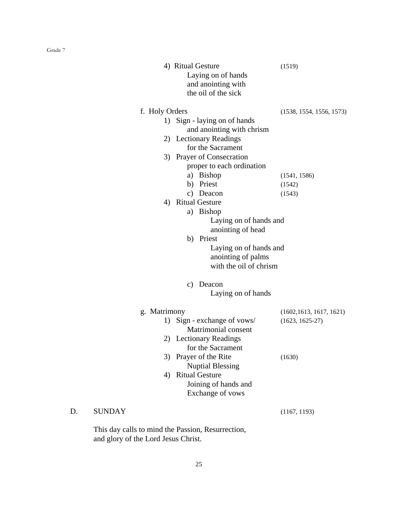|    |                                                   | 4) Ritual Gesture<br>Laying on of hands<br>and anointing with<br>the oil of the sick | (1519)                   |
|----|---------------------------------------------------|--------------------------------------------------------------------------------------|--------------------------|
|    | f. Holy Orders                                    |                                                                                      | (1538, 1554, 1556, 1573) |
|    | 1)                                                | Sign - laying on of hands                                                            |                          |
|    |                                                   | and anointing with chrism                                                            |                          |
|    |                                                   | 2) Lectionary Readings                                                               |                          |
|    |                                                   | for the Sacrament                                                                    |                          |
|    |                                                   | 3) Prayer of Consecration                                                            |                          |
|    |                                                   | proper to each ordination                                                            |                          |
|    |                                                   | a) Bishop                                                                            | (1541, 1586)             |
|    |                                                   | b) Priest<br>c) Deacon                                                               | (1542)                   |
|    | 4)                                                | <b>Ritual Gesture</b>                                                                | (1543)                   |
|    |                                                   | a) Bishop                                                                            |                          |
|    |                                                   | Laying on of hands and                                                               |                          |
|    |                                                   | anointing of head                                                                    |                          |
|    |                                                   | b) Priest                                                                            |                          |
|    |                                                   | Laying on of hands and                                                               |                          |
|    |                                                   | anointing of palms                                                                   |                          |
|    |                                                   | with the oil of chrism                                                               |                          |
|    |                                                   | Deacon<br>c)                                                                         |                          |
|    |                                                   | Laying on of hands                                                                   |                          |
|    | g. Matrimony                                      |                                                                                      | (1602, 1613, 1617, 1621) |
|    | 1)                                                | Sign - exchange of vows/                                                             | $(1623, 1625-27)$        |
|    |                                                   | Matrimonial consent                                                                  |                          |
|    | 2)                                                | <b>Lectionary Readings</b>                                                           |                          |
|    |                                                   | for the Sacrament                                                                    |                          |
|    | 3)                                                | Prayer of the Rite                                                                   | (1630)                   |
|    |                                                   | <b>Nuptial Blessing</b>                                                              |                          |
|    | 4)                                                | <b>Ritual Gesture</b><br>Joining of hands and                                        |                          |
|    |                                                   | Exchange of vows                                                                     |                          |
|    |                                                   |                                                                                      |                          |
| D. | <b>SUNDAY</b>                                     |                                                                                      | (1167, 1193)             |
|    | This day calls to mind the Passion, Resurrection, |                                                                                      |                          |

and glory of the Lord Jesus Christ.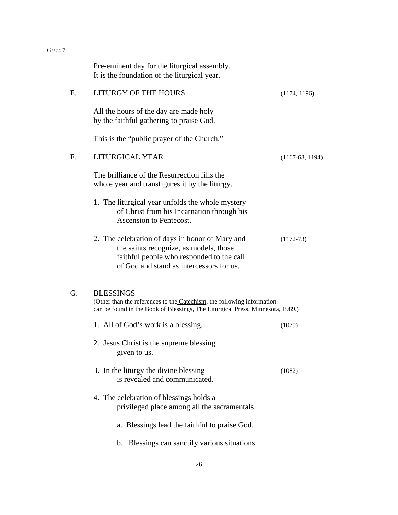|    | Pre-eminent day for the liturgical assembly.<br>It is the foundation of the liturgical year.                                                                                       |                   |
|----|------------------------------------------------------------------------------------------------------------------------------------------------------------------------------------|-------------------|
| E. | LITURGY OF THE HOURS                                                                                                                                                               | (1174, 1196)      |
|    | All the hours of the day are made holy<br>by the faithful gathering to praise God.                                                                                                 |                   |
|    | This is the "public prayer of the Church."                                                                                                                                         |                   |
| F. | LITURGICAL YEAR                                                                                                                                                                    | $(1167-68, 1194)$ |
|    | The brilliance of the Resurrection fills the<br>whole year and transfigures it by the liturgy.                                                                                     |                   |
|    | 1. The liturgical year unfolds the whole mystery<br>of Christ from his Incarnation through his<br>Ascension to Pentecost.                                                          |                   |
|    | 2. The celebration of days in honor of Mary and<br>the saints recognize, as models, those<br>faithful people who responded to the call<br>of God and stand as intercessors for us. | $(1172 - 73)$     |
| G. | <b>BLESSINGS</b><br>(Other than the references to the Catechism, the following information<br>can be found in the Book of Blessings, The Liturgical Press, Minnesota, 1989.)       |                   |
|    | 1. All of God's work is a blessing.                                                                                                                                                | (1079)            |
|    | 2. Jesus Christ is the supreme blessing<br>given to us.                                                                                                                            |                   |
|    | 3. In the liturgy the divine blessing<br>is revealed and communicated.                                                                                                             | (1082)            |
|    | 4. The celebration of blessings holds a<br>privileged place among all the sacramentals.                                                                                            |                   |
|    | a. Blessings lead the faithful to praise God.                                                                                                                                      |                   |
|    | Blessings can sanctify various situations<br>b.                                                                                                                                    |                   |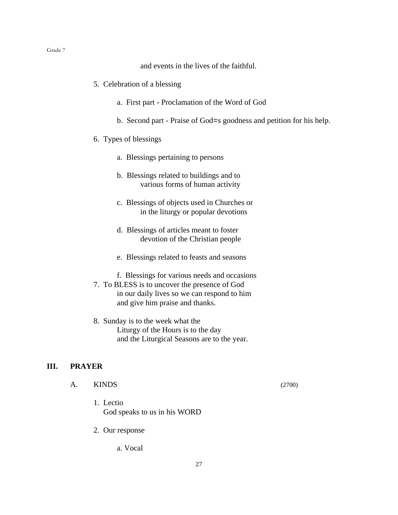and events in the lives of the faithful.

- 5. Celebration of a blessing
	- a. First part Proclamation of the Word of God
	- b. Second part Praise of God=s goodness and petition for his help.
- 6. Types of blessings
	- a. Blessings pertaining to persons
	- b. Blessings related to buildings and to various forms of human activity
	- c. Blessings of objects used in Churches or in the liturgy or popular devotions
	- d. Blessings of articles meant to foster devotion of the Christian people
	- e. Blessings related to feasts and seasons
	- f. Blessings for various needs and occasions
- 7. To BLESS is to uncover the presence of God in our daily lives so we can respond to him and give him praise and thanks.
- 8. Sunday is to the week what the Liturgy of the Hours is to the day and the Liturgical Seasons are to the year.

#### **III. PRAYER**

- A. KINDS (2700)
	- 1. Lectio God speaks to us in his WORD
	- 2. Our response
		- a. Vocal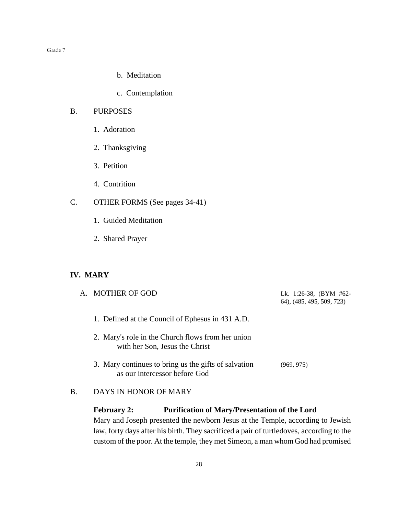- b. Meditation
- c. Contemplation

## B. PURPOSES

- 1. Adoration
- 2. Thanksgiving
- 3. Petition
- 4. Contrition
- C. OTHER FORMS (See pages 34-41)
	- 1. Guided Meditation
	- 2. Shared Prayer

## **IV. MARY**

| A. MOTHER OF GOD                                                                      | Lk. 1:26-38, $(BYM \#62$ -<br>64), (485, 495, 509, 723) |
|---------------------------------------------------------------------------------------|---------------------------------------------------------|
| 1. Defined at the Council of Ephesus in 431 A.D.                                      |                                                         |
| 2. Mary's role in the Church flows from her union<br>with her Son, Jesus the Christ   |                                                         |
| 3. Mary continues to bring us the gifts of salvation<br>as our intercessor before God | (969, 975)                                              |

## B. DAYS IN HONOR OF MARY

## **February 2: Purification of Mary/Presentation of the Lord**

Mary and Joseph presented the newborn Jesus at the Temple, according to Jewish law, forty days after his birth. They sacrificed a pair of turtledoves, according to the custom of the poor. At the temple, they met Simeon, a man whom God had promised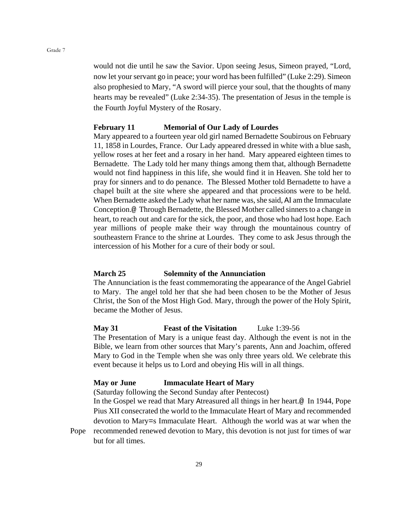would not die until he saw the Savior. Upon seeing Jesus, Simeon prayed, "Lord, now let your servant go in peace; your word has been fulfilled" (Luke 2:29). Simeon also prophesied to Mary, "A sword will pierce your soul, that the thoughts of many hearts may be revealed" (Luke 2:34-35). The presentation of Jesus in the temple is the Fourth Joyful Mystery of the Rosary.

#### **February 11 Memorial of Our Lady of Lourdes**

Mary appeared to a fourteen year old girl named Bernadette Soubirous on February 11, 1858 in Lourdes, France. Our Lady appeared dressed in white with a blue sash, yellow roses at her feet and a rosary in her hand. Mary appeared eighteen times to Bernadette. The Lady told her many things among them that, although Bernadette would not find happiness in this life, she would find it in Heaven. She told her to pray for sinners and to do penance. The Blessed Mother told Bernadette to have a chapel built at the site where she appeared and that processions were to be held. When Bernadette asked the Lady what her name was, she said, AI am the Immaculate Conception.@ Through Bernadette, the Blessed Mother called sinners to a change in heart, to reach out and care for the sick, the poor, and those who had lost hope. Each year millions of people make their way through the mountainous country of southeastern France to the shrine at Lourdes. They come to ask Jesus through the intercession of his Mother for a cure of their body or soul.

### **March 25 Solemnity of the Annunciation**

The Annunciation is the feast commemorating the appearance of the Angel Gabriel to Mary. The angel told her that she had been chosen to be the Mother of Jesus Christ, the Son of the Most High God. Mary, through the power of the Holy Spirit, became the Mother of Jesus.

#### **May 31 Feast of the Visitation** Luke 1:39-56

The Presentation of Mary is a unique feast day. Although the event is not in the Bible, we learn from other sources that Mary's parents, Ann and Joachim, offered Mary to God in the Temple when she was only three years old. We celebrate this event because it helps us to Lord and obeying His will in all things.

#### **May or June Immaculate Heart of Mary**

(Saturday following the Second Sunday after Pentecost)

In the Gospel we read that Mary Atreasured all things in her heart.@ In 1944, Pope Pius XII consecrated the world to the Immaculate Heart of Mary and recommended devotion to Mary=s Immaculate Heart. Although the world was at war when the

Pope recommended renewed devotion to Mary, this devotion is not just for times of war but for all times.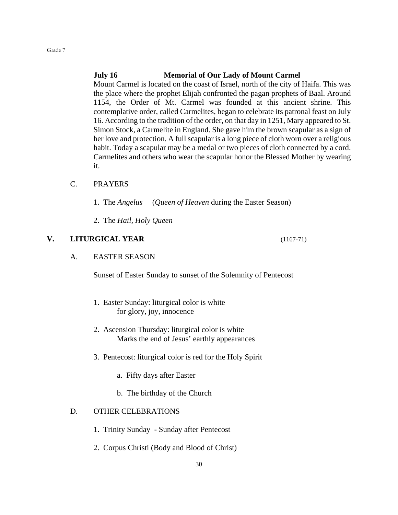## **July 16 Memorial of Our Lady of Mount Carmel**

Mount Carmel is located on the coast of Israel, north of the city of Haifa. This was the place where the prophet Elijah confronted the pagan prophets of Baal. Around 1154, the Order of Mt. Carmel was founded at this ancient shrine. This contemplative order, called Carmelites, began to celebrate its patronal feast on July 16. According to the tradition of the order, on that day in 1251, Mary appeared to St. Simon Stock, a Carmelite in England. She gave him the brown scapular as a sign of her love and protection. A full scapular is a long piece of cloth worn over a religious habit. Today a scapular may be a medal or two pieces of cloth connected by a cord. Carmelites and others who wear the scapular honor the Blessed Mother by wearing it.

## C. PRAYERS

- 1. The *Angelus* (*Queen of Heaven* during the Easter Season)
- 2. The *Hail, Holy Queen*

#### **V. LITURGICAL YEAR** (1167-71)

#### A. EASTER SEASON

Sunset of Easter Sunday to sunset of the Solemnity of Pentecost

- 1. Easter Sunday: liturgical color is white for glory, joy, innocence
- 2. Ascension Thursday: liturgical color is white Marks the end of Jesus' earthly appearances
- 3. Pentecost: liturgical color is red for the Holy Spirit
	- a. Fifty days after Easter
	- b. The birthday of the Church

## D. OTHER CELEBRATIONS

- 1. Trinity Sunday Sunday after Pentecost
- 2. Corpus Christi (Body and Blood of Christ)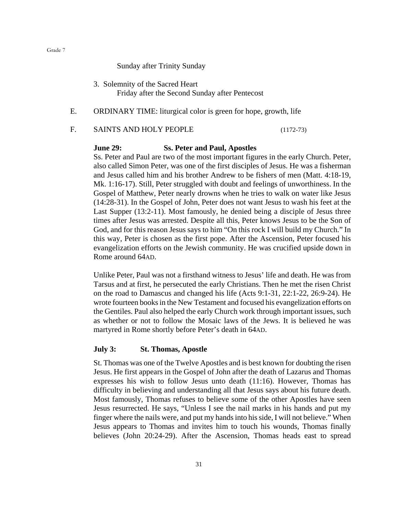Sunday after Trinity Sunday

- 3. Solemnity of the Sacred Heart Friday after the Second Sunday after Pentecost
- E. ORDINARY TIME: liturgical color is green for hope, growth, life

#### F. SAINTS AND HOLY PEOPLE (1172-73)

#### **June 29: Ss. Peter and Paul, Apostles**

Ss. Peter and Paul are two of the most important figures in the early Church. Peter, also called Simon Peter, was one of the first disciples of Jesus. He was a fisherman and Jesus called him and his brother Andrew to be fishers of men (Matt. 4:18-19, Mk. 1:16-17). Still, Peter struggled with doubt and feelings of unworthiness. In the Gospel of Matthew, Peter nearly drowns when he tries to walk on water like Jesus (14:28-31). In the Gospel of John, Peter does not want Jesus to wash his feet at the Last Supper (13:2-11). Most famously, he denied being a disciple of Jesus three times after Jesus was arrested. Despite all this, Peter knows Jesus to be the Son of God, and for this reason Jesus says to him "On this rock I will build my Church." In this way, Peter is chosen as the first pope. After the Ascension, Peter focused his evangelization efforts on the Jewish community. He was crucified upside down in Rome around 64AD.

Unlike Peter, Paul was not a firsthand witness to Jesus' life and death. He was from Tarsus and at first, he persecuted the early Christians. Then he met the risen Christ on the road to Damascus and changed his life (Acts 9:1-31, 22:1-22, 26:9-24). He wrote fourteen books in the New Testament and focused his evangelization efforts on the Gentiles. Paul also helped the early Church work through important issues, such as whether or not to follow the Mosaic laws of the Jews. It is believed he was martyred in Rome shortly before Peter's death in 64AD.

#### **July 3: St. Thomas, Apostle**

St. Thomas was one of the Twelve Apostles and is best known for doubting the risen Jesus. He first appears in the Gospel of John after the death of Lazarus and Thomas expresses his wish to follow Jesus unto death (11:16). However, Thomas has difficulty in believing and understanding all that Jesus says about his future death. Most famously, Thomas refuses to believe some of the other Apostles have seen Jesus resurrected. He says, "Unless I see the nail marks in his hands and put my finger where the nails were, and put my hands into his side, I will not believe." When Jesus appears to Thomas and invites him to touch his wounds, Thomas finally believes (John 20:24-29). After the Ascension, Thomas heads east to spread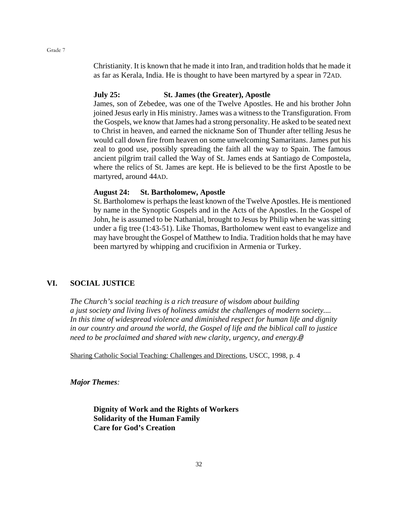Christianity. It is known that he made it into Iran, and tradition holds that he made it as far as Kerala, India. He is thought to have been martyred by a spear in 72AD.

#### **July 25: St. James (the Greater), Apostle**

James, son of Zebedee, was one of the Twelve Apostles. He and his brother John joined Jesus early in His ministry. James was a witness to the Transfiguration. From the Gospels, we know that James had a strong personality. He asked to be seated next to Christ in heaven, and earned the nickname Son of Thunder after telling Jesus he would call down fire from heaven on some unwelcoming Samaritans. James put his zeal to good use, possibly spreading the faith all the way to Spain. The famous ancient pilgrim trail called the Way of St. James ends at Santiago de Compostela, where the relics of St. James are kept. He is believed to be the first Apostle to be martyred, around 44AD.

#### **August 24: St. Bartholomew, Apostle**

St. Bartholomew is perhaps the least known of the Twelve Apostles. He is mentioned by name in the Synoptic Gospels and in the Acts of the Apostles. In the Gospel of John, he is assumed to be Nathanial, brought to Jesus by Philip when he was sitting under a fig tree (1:43-51). Like Thomas, Bartholomew went east to evangelize and may have brought the Gospel of Matthew to India. Tradition holds that he may have been martyred by whipping and crucifixion in Armenia or Turkey.

## **VI. SOCIAL JUSTICE**

*The Church's social teaching is a rich treasure of wisdom about building a just society and living lives of holiness amidst the challenges of modern society.... In this time of widespread violence and diminished respect for human life and dignity in our country and around the world, the Gospel of life and the biblical call to justice need to be proclaimed and shared with new clarity, urgency, and energy.@*

Sharing Catholic Social Teaching: Challenges and Directions*,* USCC, 1998, p. 4

*Major Themes:*

**Dignity of Work and the Rights of Workers Solidarity of the Human Family Care for God's Creation**